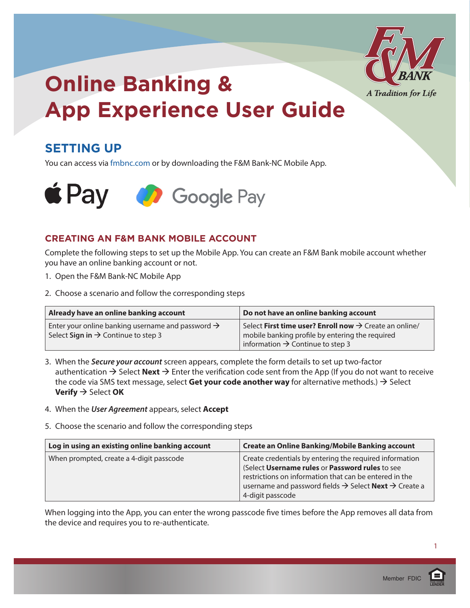

### **SETTING UP**

You can access via [fmbnc.com](http://www.fmbnc.com) or by downloading the F&M Bank-NC Mobile App.



#### **CREATING AN F&M BANK MOBILE ACCOUNT**

Complete the following steps to set up the Mobile App. You can create an F&M Bank mobile account whether you have an online banking account or not.

- 1. Open the F&M Bank-NC Mobile App
- 2. Choose a scenario and follow the corresponding steps

| Already have an online banking account                                                                           | Do not have an online banking account                                                                                                                                 |
|------------------------------------------------------------------------------------------------------------------|-----------------------------------------------------------------------------------------------------------------------------------------------------------------------|
| Enter your online banking username and password $\rightarrow$<br>Select Sign in $\rightarrow$ Continue to step 3 | Select First time user? Enroll now $\rightarrow$ Create an online/<br>mobile banking profile by entering the required<br>information $\rightarrow$ Continue to step 3 |

- 3. When the *Secure your account* screen appears, complete the form details to set up two-factor authentication  $\rightarrow$  Select **Next**  $\rightarrow$  Enter the verification code sent from the App (If you do not want to receive the code via SMS text message, select Get your code another way for alternative methods.)  $\rightarrow$  Select **Verify** → Select OK
- 4. When the *User Agreement* appears, select **Accept**
- 5. Choose the scenario and follow the corresponding steps

| Log in using an existing online banking account | <b>Create an Online Banking/Mobile Banking account</b>                                                                                                                                                                                                                           |
|-------------------------------------------------|----------------------------------------------------------------------------------------------------------------------------------------------------------------------------------------------------------------------------------------------------------------------------------|
| When prompted, create a 4-digit passcode        | Create credentials by entering the required information<br>(Select Username rules or Password rules to see<br>restrictions on information that can be entered in the<br>username and password fields $\rightarrow$ Select <b>Next</b> $\rightarrow$ Create a<br>4-digit passcode |

When logging into the App, you can enter the wrong passcode five times before the App removes all data from the device and requires you to re-authenticate.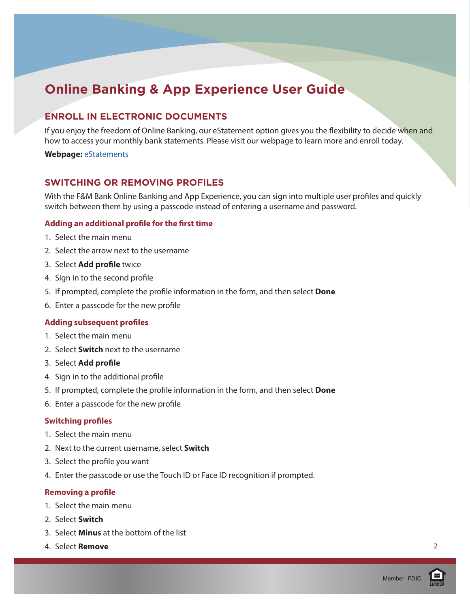#### **ENROLL IN ELECTRONIC DOCUMENTS**

If you enjoy the freedom of Online Banking, our eStatement option gives you the flexibility to decide when and how to access your monthly bank statements. Please visit our webpage to learn more and enroll today.

#### **Webpage:** [eStatements](https://www.fmbnc.com/personal/e-statements)

#### **SWITCHING OR REMOVING PROFILES**

With the F&M Bank Online Banking and App Experience, you can sign into multiple user profiles and quickly switch between them by using a passcode instead of entering a username and password.

#### **Adding an additional profile for the first time**

- 1. Select the main menu
- 2. Select the arrow next to the username
- 3. Select **Add profile** twice
- 4. Sign in to the second profile
- 5. If prompted, complete the profile information in the form, and then select **Done**
- 6. Enter a passcode for the new profile

#### **Adding subsequent profiles**

- 1. Select the main menu
- 2. Select **Switch** next to the username
- 3. Select **Add profile**
- 4. Sign in to the additional profile
- 5. If prompted, complete the profile information in the form, and then select **Done**
- 6. Enter a passcode for the new profile

#### **Switching profiles**

- 1. Select the main menu
- 2. Next to the current username, select **Switch**
- 3. Select the profile you want
- 4. Enter the passcode or use the Touch ID or Face ID recognition if prompted.

#### **Removing a profile**

- 1. Select the main menu
- 2. Select **Switch**
- 3. Select **Minus** at the bottom of the list
- 4. Select **Remove**

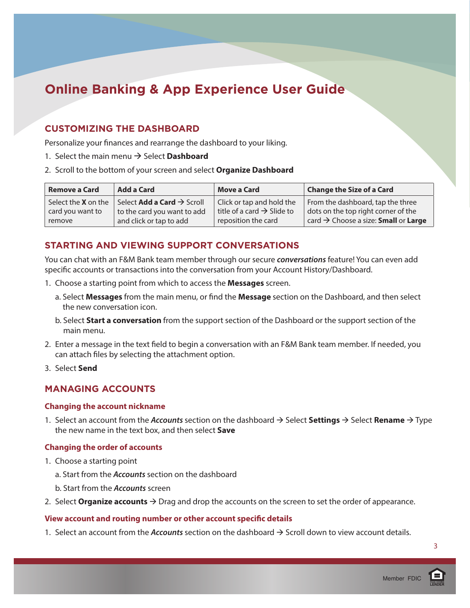#### **CUSTOMIZING THE DASHBOARD**

Personalize your finances and rearrange the dashboard to your liking.

- 1. Select the main menu  $\rightarrow$  Select **Dashboard**
- 2. Scroll to the bottom of your screen and select **Organize Dashboard**

| <b>Remove a Card</b>               | Add a Card                  | <b>Move a Card</b>                     | <b>Change the Size of a Card</b>                               |
|------------------------------------|-----------------------------|----------------------------------------|----------------------------------------------------------------|
| Select the <b>X</b> on the $\vert$ | Select Add a Card > Scroll  | Click or tap and hold the              | From the dashboard, tap the three                              |
| card you want to                   | to the card you want to add | title of a card $\rightarrow$ Slide to | dots on the top right corner of the                            |
| remove                             | and click or tap to add     | reposition the card                    | card $\rightarrow$ Choose a size: <b>Small</b> or <b>Large</b> |

#### **STARTING AND VIEWING SUPPORT CONVERSATIONS**

You can chat with an F&M Bank team member through our secure *conversations* feature! You can even add specific accounts or transactions into the conversation from your Account History/Dashboard.

- 1. Choose a starting point from which to access the **Messages** screen.
	- a. Select **Messages** from the main menu, or find the **Message** section on the Dashboard, and then select the new conversation icon.
	- b. Select **Start a conversation** from the support section of the Dashboard or the support section of the main menu.
- 2. Enter a message in the text field to begin a conversation with an F&M Bank team member. If needed, you can attach files by selecting the attachment option.
- 3. Select **Send**

#### **MANAGING ACCOUNTS**

#### **Changing the account nickname**

1. Select an account from the *Accounts* section on the dashboard  $\rightarrow$  Select **Settings**  $\rightarrow$  Select **Rename**  $\rightarrow$  Type the new name in the text box, and then select **Save**

#### **Changing the order of accounts**

- 1. Choose a starting point
	- a. Start from the *Accounts* section on the dashboard
	- b. Start from the *Accounts* screen
- 2. Select **Organize accounts**  $\rightarrow$  Drag and drop the accounts on the screen to set the order of appearance.

#### **View account and routing number or other account specific details**

1. Select an account from the *Accounts* section on the dashboard  $\rightarrow$  Scroll down to view account details.

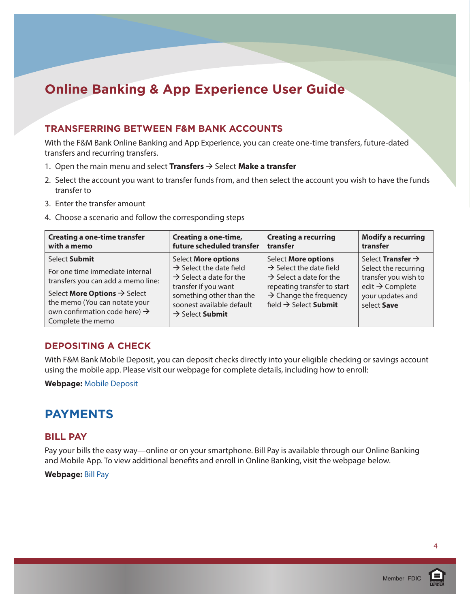#### **TRANSFERRING BETWEEN F&M BANK ACCOUNTS**

With the F&M Bank Online Banking and App Experience, you can create one-time transfers, future-dated transfers and recurring transfers.

- 1. Open the main menu and select **Transfers**  $\rightarrow$  Select **Make a transfer**
- 2. Select the account you want to transfer funds from, and then select the account you wish to have the funds transfer to
- 3. Enter the transfer amount
- 4. Choose a scenario and follow the corresponding steps

| <b>Creating a one-time transfer</b>                                                                                                                                                                                                   | <b>Creating a one-time,</b>                                                                                                                                                                                       | <b>Creating a recurring</b>                                                                                                                                                                                        | <b>Modify a recurring</b>                                                                                                                              |
|---------------------------------------------------------------------------------------------------------------------------------------------------------------------------------------------------------------------------------------|-------------------------------------------------------------------------------------------------------------------------------------------------------------------------------------------------------------------|--------------------------------------------------------------------------------------------------------------------------------------------------------------------------------------------------------------------|--------------------------------------------------------------------------------------------------------------------------------------------------------|
| with a memo                                                                                                                                                                                                                           | future scheduled transfer                                                                                                                                                                                         | transfer                                                                                                                                                                                                           | transfer                                                                                                                                               |
| Select Submit<br>For one time immediate internal<br>transfers you can add a memo line:<br>Select More Options $\rightarrow$ Select<br>the memo (You can notate your<br>own confirmation code here) $\rightarrow$<br>Complete the memo | Select More options<br>$\rightarrow$ Select the date field<br>$\rightarrow$ Select a date for the<br>transfer if you want<br>something other than the<br>soonest available default<br>$\rightarrow$ Select Submit | <b>Select More options</b><br>$\rightarrow$ Select the date field<br>$\rightarrow$ Select a date for the<br>repeating transfer to start<br>$\rightarrow$ Change the frequency<br>field $\rightarrow$ Select Submit | Select <b>Transfer</b> $\rightarrow$<br>Select the recurring<br>transfer you wish to<br>edit $\rightarrow$ Complete<br>your updates and<br>select Save |

#### **DEPOSITING A CHECK**

With F&M Bank Mobile Deposit, you can deposit checks directly into your eligible checking or savings account using the mobile app. Please visit our webpage for complete details, including how to enroll:

#### **Webpage:** [Mobile Deposit](https://www.fmbnc.com/personal/mobile-deposit)

### **PAYMENTS**

#### **BILL PAY**

Pay your bills the easy way—online or on your smartphone. Bill Pay is available through our Online Banking and Mobile App. To view additional benefits and enroll in Online Banking, visit the webpage below.

#### **Webpage:** [Bill Pay](https://www.fmbnc.com/online-banking-and-app-experience)

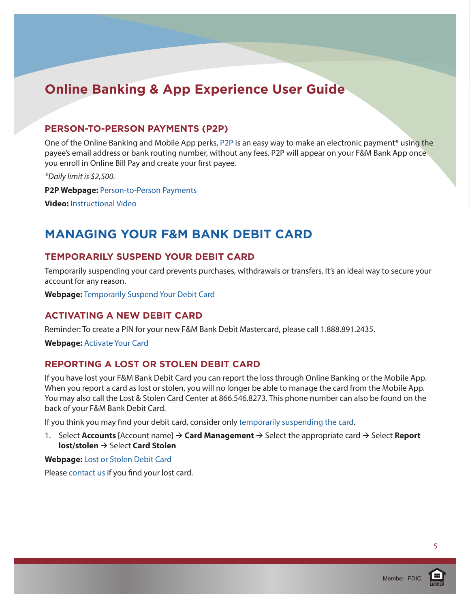#### **PERSON-TO-PERSON PAYMENTS (P2P)**

One of the Online Banking and Mobile App perks, [P2P](https://www.fmbnc.com/personal/person-to-person-payments) is an easy way to make an electronic payment\* using the payee's email address or bank routing number, without any fees. P2P will appear on your F&M Bank App once you enroll in Online Bill Pay and create your first payee.

*\*Daily limit is \$2,500.*

**P2P Webpage:** [Person-to-Person Payments](https://www.fmbnc.com/personal/person-to-person-payments)

**Video:** [Instructional Video](https://www.billpaysite.com/V3/Tutorials/ShowDemo?demoTag=CG3PP&instID=41628&AspxAutoDetectCookieSupport=1) 

### **MANAGING YOUR F&M BANK DEBIT CARD**

#### **TEMPORARILY SUSPEND YOUR DEBIT CARD**

Temporarily suspending your card prevents purchases, withdrawals or transfers. It's an ideal way to secure your account for any reason.

**Webpage:** [Temporarily Suspend Your Debit Card](https://www.fmbnc.com/temporarily-suspend-your-debit-card)

#### **ACTIVATING A NEW DEBIT CARD**

Reminder: To create a PIN for your new F&M Bank Debit Mastercard, please call 1.888.891.2435.

**Webpage:** [Activate Your Card](https://www.fmbnc.com/activate-your-card)

#### **REPORTING A LOST OR STOLEN DEBIT CARD**

If you have lost your F&M Bank Debit Card you can report the loss through Online Banking or the Mobile App. When you report a card as lost or stolen, you will no longer be able to manage the card from the Mobile App. You may also call the Lost & Stolen Card Center at 866.546.8273. This phone number can also be found on the back of your F&M Bank Debit Card.

If you think you may find your debit card, consider only [temporarily suspending the card.](https://www.fmbnc.com/temporarily-suspend-your-debit-card)

1. Select **Accounts** [Account name]  $\rightarrow$  **Card Management**  $\rightarrow$  Select the appropriate card  $\rightarrow$  Select **Report lost/stolen** → Select **Card Stolen** 

#### **Webpage:** [Lost or Stolen Debit Card](https://www.fmbnc.com/personal/lost-card-or-mobile)

Please [contact us](https://www.fmbnc.com/connect/contact-us) if you find your lost card.



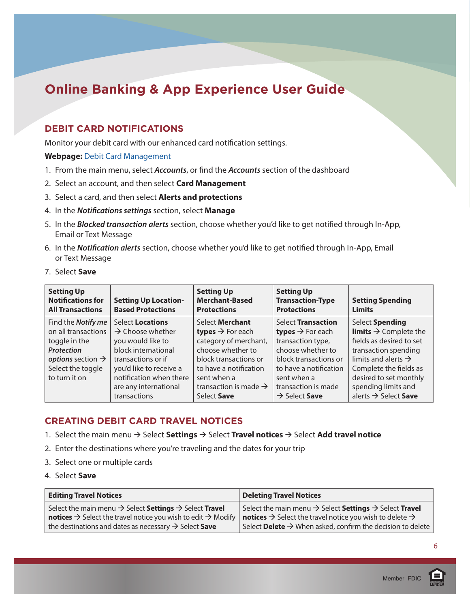#### **DEBIT CARD NOTIFICATIONS**

Monitor your debit card with our enhanced card notification settings.

#### **Webpage:** [Debit Card Management](https://www.fmbnc.com/personal/debit-card-management)

- 1. From the main menu, select *Accounts*, or find the *Accounts* section of the dashboard
- 2. Select an account, and then select **Card Management**
- 3. Select a card, and then select **Alerts and protections**
- 4. In the *Notifications settings* section, select **Manage**
- 5. In the *Blocked transaction alerts* section, choose whether you'd like to get notified through In-App, Email or Text Message
- 6. In the *Notification alerts* section, choose whether you'd like to get notified through In-App, Email or Text Message
- 7. Select **Save**

| <b>Setting Up</b><br><b>Notifications for</b><br><b>All Transactions</b> | <b>Setting Up Location-</b><br><b>Based Protections</b> | <b>Setting Up</b><br><b>Merchant-Based</b><br><b>Protections</b> | <b>Setting Up</b><br><b>Transaction-Type</b><br><b>Protections</b> | <b>Setting Spending</b><br><b>Limits</b> |
|--------------------------------------------------------------------------|---------------------------------------------------------|------------------------------------------------------------------|--------------------------------------------------------------------|------------------------------------------|
| Find the Notify me                                                       | <b>Select Locations</b>                                 | Select Merchant                                                  | <b>Select Transaction</b>                                          | Select Spending                          |
| on all transactions                                                      | $\rightarrow$ Choose whether                            | <b>types</b> $\rightarrow$ For each                              | <b>types</b> $\rightarrow$ For each                                | <b>limits</b> $\rightarrow$ Complete the |
| toggle in the                                                            | you would like to                                       | category of merchant,                                            | transaction type,                                                  | fields as desired to set                 |
| <b>Protection</b>                                                        | block international                                     | choose whether to                                                | choose whether to                                                  | transaction spending                     |
| options section $\rightarrow$                                            | transactions or if                                      | block transactions or                                            | block transactions or                                              | limits and alerts $\rightarrow$          |
| Select the toggle                                                        | you'd like to receive a                                 | to have a notification                                           | to have a notification                                             | Complete the fields as                   |
| to turn it on                                                            | notification when there                                 | sent when a                                                      | sent when a                                                        | desired to set monthly                   |
|                                                                          | are any international                                   | transaction is made $\rightarrow$                                | transaction is made                                                | spending limits and                      |
|                                                                          | transactions                                            | Select Save                                                      | $\rightarrow$ Select Save                                          | alerts $\rightarrow$ Select Save         |

#### **CREATING DEBIT CARD TRAVEL NOTICES**

- 1. Select the main menu  $\rightarrow$  Select **Settings**  $\rightarrow$  Select **Travel notices**  $\rightarrow$  Select **Add travel notice**
- 2. Enter the destinations where you're traveling and the dates for your trip
- 3. Select one or multiple cards
- 4. Select **Save**

| <b>Editing Travel Notices</b>                                                               | Deleting Travel Notices                                                                      |
|---------------------------------------------------------------------------------------------|----------------------------------------------------------------------------------------------|
| Select the main menu $\rightarrow$ Select Settings $\rightarrow$ Select Travel              | Select the main menu $\rightarrow$ Select <b>Settings</b> $\rightarrow$ Select <b>Travel</b> |
| <b>notices</b> $\rightarrow$ Select the travel notice you wish to edit $\rightarrow$ Modify | notices $\rightarrow$ Select the travel notice you wish to delete $\rightarrow$              |
| the destinations and dates as necessary $\rightarrow$ Select Save                           | Select Delete $\rightarrow$ When asked, confirm the decision to delete                       |

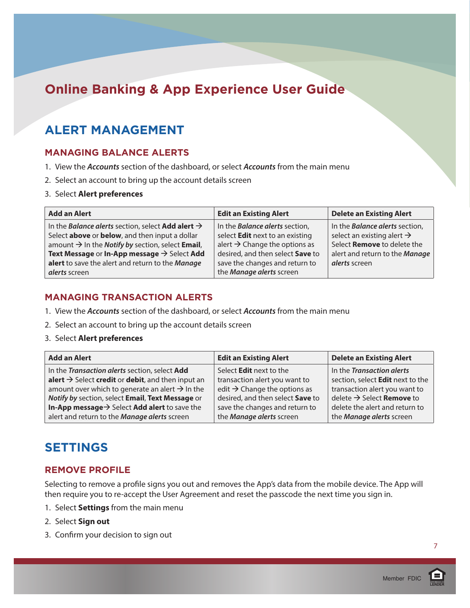### **ALERT MANAGEMENT**

#### **MANAGING BALANCE ALERTS**

- 1. View the *Accounts* section of the dashboard, or select *Accounts* from the main menu
- 2. Select an account to bring up the account details screen
- 3. Select **Alert preferences**

| Add an Alert                                                                | <b>Edit an Existing Alert</b>             | <b>Delete an Existing Alert</b>        |
|-----------------------------------------------------------------------------|-------------------------------------------|----------------------------------------|
| In the Balance alerts section, select Add alert $\rightarrow$               | In the <b>Balance alerts</b> section,     | In the <b>Balance alerts</b> section,  |
| Select above or below, and then input a dollar                              | select Edit next to an existing           | select an existing alert $\rightarrow$ |
| amount $\rightarrow$ In the <i>Notify by</i> section, select <b>Email</b> , | alert $\rightarrow$ Change the options as | Select Remove to delete the            |
| Text Message or In-App message $\rightarrow$ Select Add                     | desired, and then select Save to          | alert and return to the Manage         |
| alert to save the alert and return to the Manage                            | save the changes and return to            | alerts screen                          |
| derts screen                                                                | the Manage alerts screen                  |                                        |

#### **MANAGING TRANSACTION ALERTS**

- 1. View the *Accounts* section of the dashboard, or select *Accounts* from the main menu
- 2. Select an account to bring up the account details screen
- 3. Select **Alert preferences**

| <b>Add an Alert</b>                                           | <b>Edit an Existing Alert</b>            | <b>Delete an Existing Alert</b>              |
|---------------------------------------------------------------|------------------------------------------|----------------------------------------------|
| In the Transaction alerts section, select Add                 | Select <b>Edit</b> next to the           | In the Transaction alerts                    |
| alert $\rightarrow$ Select credit or debit, and then input an | transaction alert you want to            | section, select Edit next to the             |
| amount over which to generate an alert $\rightarrow$ In the   | edit $\rightarrow$ Change the options as | transaction alert you want to                |
| Notify by section, select Email, Text Message or              | desired, and then select Save to         | delete $\rightarrow$ Select <b>Remove</b> to |
| In-App message $\rightarrow$ Select Add alert to save the     | save the changes and return to           | delete the alert and return to               |
| alert and return to the Manage alerts screen                  | the Manage alerts screen                 | the Manage alerts screen                     |

### **SETTINGS**

#### **REMOVE PROFILE**

Selecting to remove a profile signs you out and removes the App's data from the mobile device. The App will then require you to re-accept the User Agreement and reset the passcode the next time you sign in.

- 1. Select **Settings** from the main menu
- 2. Select **Sign out**
- 3. Confirm your decision to sign out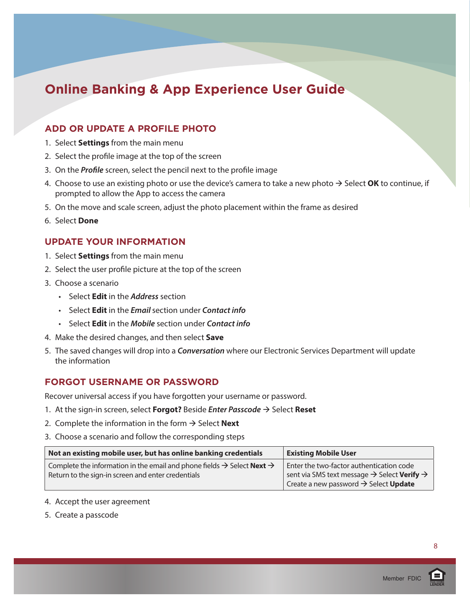#### **ADD OR UPDATE A PROFILE PHOTO**

- 1. Select **Settings** from the main menu
- 2. Select the profile image at the top of the screen
- 3. On the *Profile* screen, select the pencil next to the profile image
- 4. Choose to use an existing photo or use the device's camera to take a new photo  $\rightarrow$  Select **OK** to continue, if prompted to allow the App to access the camera
- 5. On the move and scale screen, adjust the photo placement within the frame as desired
- 6. Select **Done**

#### **UPDATE YOUR INFORMATION**

- 1. Select **Settings** from the main menu
- 2. Select the user profile picture at the top of the screen
- 3. Choose a scenario
	- Select **Edit** in the *Address* section
	- Select **Edit** in the *Email* section under *Contact info*
	- Select **Edit** in the *Mobile* section under *Contact info*
- 4. Make the desired changes, and then select **Save**
- 5. The saved changes will drop into a *Conversation* where our Electronic Services Department will update the information

#### **FORGOT USERNAME OR PASSWORD**

Recover universal access if you have forgotten your username or password.

- 1. At the sign-in screen, select **Forgot?** Beside *Enter Passcode* → Select Reset
- 2. Complete the information in the form  $\rightarrow$  Select **Next**
- 3. Choose a scenario and follow the corresponding steps

| Not an existing mobile user, but has online banking credentials                                                                                             | <b>Existing Mobile User</b>                                                                                                                                                 |
|-------------------------------------------------------------------------------------------------------------------------------------------------------------|-----------------------------------------------------------------------------------------------------------------------------------------------------------------------------|
| Complete the information in the email and phone fields $\rightarrow$ Select <b>Next</b> $\rightarrow$<br>Return to the sign-in screen and enter credentials | Enter the two-factor authentication code<br>sent via SMS text message $\rightarrow$ Select Verify $\rightarrow$<br>Create a new password $\rightarrow$ Select <b>Update</b> |

- 4. Accept the user agreement
- 5. Create a passcode

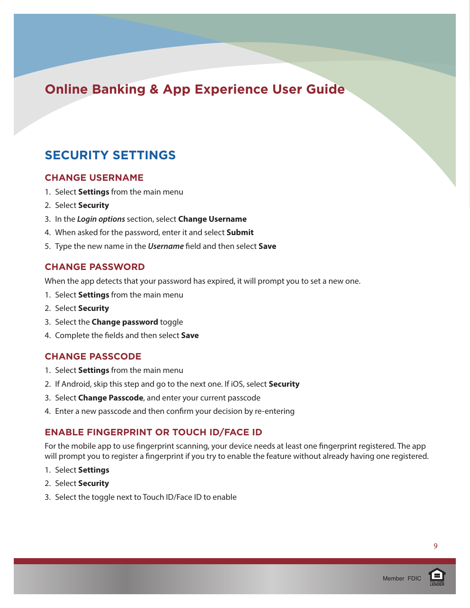### **SECURITY SETTINGS**

#### **CHANGE USERNAME**

- 1. Select **Settings** from the main menu
- 2. Select **Security**
- 3. In the *Login options* section, select **Change Username**
- 4. When asked for the password, enter it and select **Submit**
- 5. Type the new name in the *Username* field and then select **Save**

#### **CHANGE PASSWORD**

When the app detects that your password has expired, it will prompt you to set a new one.

- 1. Select **Settings** from the main menu
- 2. Select **Security**
- 3. Select the **Change password** toggle
- 4. Complete the fields and then select **Save**

#### **CHANGE PASSCODE**

- 1. Select **Settings** from the main menu
- 2. If Android, skip this step and go to the next one. If iOS, select **Security**
- 3. Select **Change Passcode**, and enter your current passcode
- 4. Enter a new passcode and then confirm your decision by re-entering

#### **ENABLE FINGERPRINT OR TOUCH ID/FACE ID**

For the mobile app to use fingerprint scanning, your device needs at least one fingerprint registered. The app will prompt you to register a fingerprint if you try to enable the feature without already having one registered.

- 1. Select **Settings**
- 2. Select **Security**
- 3. Select the toggle next to Touch ID/Face ID to enable